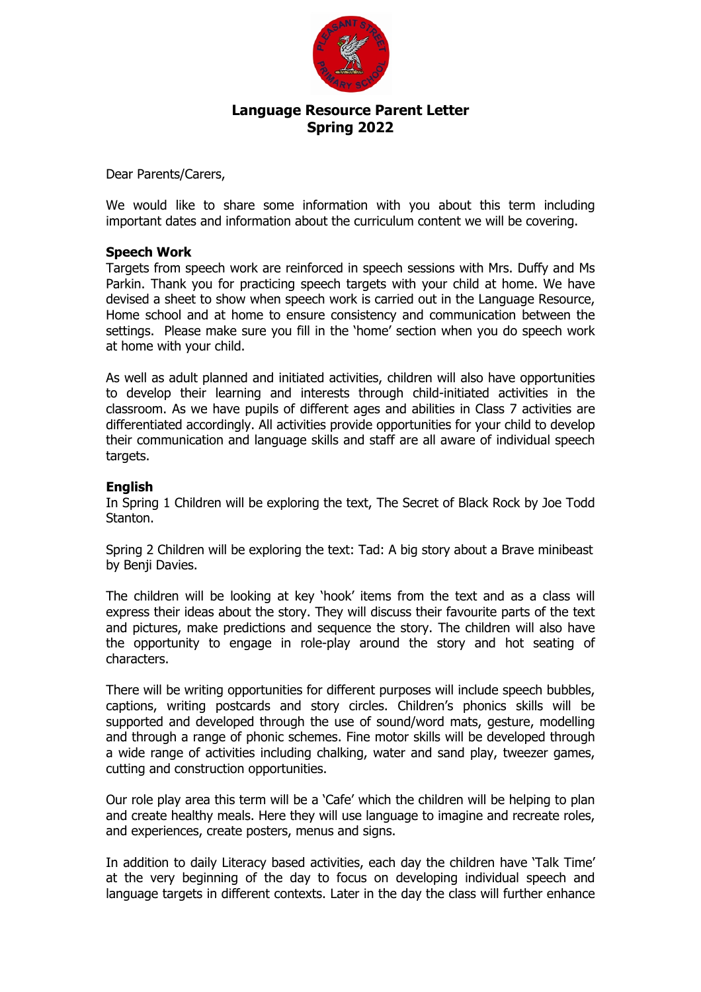

# **Language Resource Parent Letter Spring 2022**

Dear Parents/Carers,

We would like to share some information with you about this term including important dates and information about the curriculum content we will be covering.

### **Speech Work**

Targets from speech work are reinforced in speech sessions with Mrs. Duffy and Ms Parkin. Thank you for practicing speech targets with your child at home. We have devised a sheet to show when speech work is carried out in the Language Resource, Home school and at home to ensure consistency and communication between the settings. Please make sure you fill in the 'home' section when you do speech work at home with your child.

As well as adult planned and initiated activities, children will also have opportunities to develop their learning and interests through child-initiated activities in the classroom. As we have pupils of different ages and abilities in Class 7 activities are differentiated accordingly. All activities provide opportunities for your child to develop their communication and language skills and staff are all aware of individual speech targets.

# **English**

In Spring 1 Children will be exploring the text, The Secret of Black Rock by Joe Todd Stanton.

Spring 2 Children will be exploring the text: Tad: A big story about a Brave minibeast by Benii Davies.

The children will be looking at key 'hook' items from the text and as a class will express their ideas about the story. They will discuss their favourite parts of the text and pictures, make predictions and sequence the story. The children will also have the opportunity to engage in role-play around the story and hot seating of characters.

There will be writing opportunities for different purposes will include speech bubbles, captions, writing postcards and story circles. Children's phonics skills will be supported and developed through the use of sound/word mats, gesture, modelling and through a range of phonic schemes. Fine motor skills will be developed through a wide range of activities including chalking, water and sand play, tweezer games, cutting and construction opportunities.

Our role play area this term will be a 'Cafe' which the children will be helping to plan and create healthy meals. Here they will use language to imagine and recreate roles, and experiences, create posters, menus and signs.

In addition to daily Literacy based activities, each day the children have 'Talk Time' at the very beginning of the day to focus on developing individual speech and language targets in different contexts. Later in the day the class will further enhance